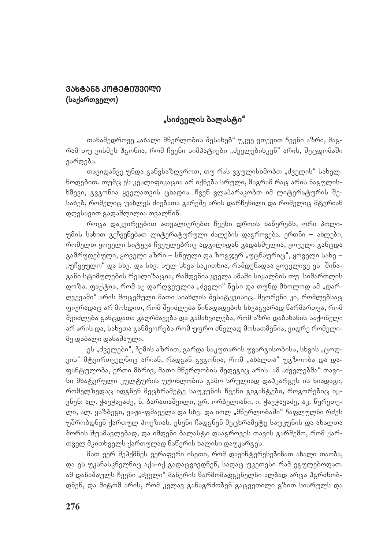## 3ᲐᲮᲢᲐᲜᲒ ᲙᲝᲢᲔᲢᲘᲨᲕᲘᲚᲘ (საქართველო)

## "სიძველის ბალასტი"

თანამედროვე "ახალი მნერლობის შესახებ" უკვე ვთქვით ჩვენი აზრი, მაგრამ თუ ვისმეს პგონია, რომ ჩვენი სიმპატიები "ძველებისკენ" არის, შეცდომაში ვარდება.

თავიდანვე უნდა განვსაზღვროთ, თუ რას ვგულისხმობთ "ძველის" სახელწოდებით. თუმც ეს კვალიფიკაცია არ იქნება სრული, მაგრამ რაც არის ნაგულისხმევი, გვგონია ყველათვის ცხადია. ჩვენ ვლაპარაკობთ იმ ლიტერატურის შესახებ, რომელიც უახლეს ძიებათა გარეშე არის დარჩენილი და რომელიც მტვრიან დღესავით გადაშლილია თვალნინ.

როცა დაკვირვებით ათვალიერებთ ჩვენი დროის ნანერებს, ორი პოლიუმის სახით გეჩვენებათ ლიტერატურული ძალების დაგროვება. ერთნი – ახლები, რომელთ ყოველი სიტყვა ჩვეულებრივ ადგილიდან გადასმულია, ყოველი განცდა  $a$ ამრუდებული, ყოველი აზრი – სნეული და ზოგჯერ "უცნაურიც", ყოველი სახე – "უჩვეულო" და სხვ. და სხვ. სულ სხვა საკითხია, რამდენადაა ყოველივე ეს შინაგანი სტიმულების რეალიზაცია, რამდენია ყველა ამაში სიყალბის თუ სიმართლის დოზა. ფაქტია, რომ აქ დარღვეულია "ძველი" ნესი და თუნდ მხოლოდ ამ "დარღვევაში" არის მოცემული მათი სიახლის შესატყვისიც. მეორენი კი, რომლებსაც ფიქრადაც არ მოსდით, რომ შეიძლება ნინადადების სხვაგვარად ნარმართვა, რომ შეიძლება განცდათა გაღრმავება და გამახვილება, რომ აზრი დაბახანის საქონელი არ არის და, სახეთა განმეორება რომ უფრო ძნელად მოსათმენია, ვიდრე რომელიმე დაბალი დანაშაული.

ეს "ძველები", ჩემის აზრით, გარდა საკუთარის უვარგისობისა, სხვის "ცოდვის" მტვირთველნიც არიან, რადგან გვგონია, რომ "ახალთა" უგზოობა და დაფანტულობა, ერთი მხრივ, მათი მნერლობის შედეგიც არის. ამ "ძველებმა" თავისი მხატვრული კულტურის უქონლობის გამო სრულიად დაჰკარგეს ის ნიადაგი, რომელზედაც იდგნენ მეცხრამეტე საუკუნის ჩვენი გიგანტები, როგორებიც იყვნენ: ალ. ჭავჭავაძე, ნ. ბარათაშვილი, გრ. ორბელიანი, ი. ჭავჭავაძე, აკ. წერეთელი, ალ. ყაზბეგი, ვაჟა-ფშაველა და სხვ. და იოლ "მნერლობაში" ჩაფლულნი რძეს უშრობდნენ ქართულ პოეზიას. ესენი ჩადგნენ მეცხრამეტე საუკუნის და ახალთა შორის შუამავლებად, და იმდენი ბალასტი დააგროვეს თავის გარშემო, რომ ქართველ მკითხველს ქართულად ნაწერის ხალისი დაუკარგეს.

მათ ვერ შეპქმნეს ვერაფერი ისეთი, რომ დაეინტერესებინათ ახალი თაობა, და ეს უკანასკნელნიც აქა-იქ გადაცვივდნენ, სადაც უკეთესი რამ ეგულებოდათ. ამ დანაშაულს ჩვენი "ძველი" მანერის ნარმომადგენელნი ალბად არცა პგრძნობდნენ, და მიტომ არის, რომ კვლავ განაგრძობენ გაცვეთილი გზით სიარულს და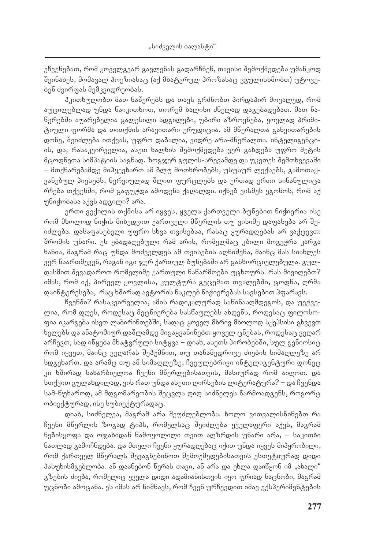ეჩვენებათ, რომ ყოველგვარ გავლენას გადარჩნენ, თავისი შემოქმედება უმანკოდ შეინახეს, მომავალ პოეზიასაც (აქ მხატვრულ პროზასაც ვგულისხმობთ) უტოვებენ ძვირფას მემკვიდრეობას.

ჰკითხულობთ მათ ნანერებს და თავს გრძნობთ პირდაპირ მოვალედ, რომ აუცილებლად უნდა ნაიკითხოთ, თორემ ხალისი ძნელად დაგებადებათ. მათ ნანერებში აუარებელია გალესილი ადგილები, უბირი აზროვნება, ყოვლად პრიმიციული ფორმა და თითქმის არავითარი ერუდიცია. ამ მწერალთა განვითარების დონე, შეიძლება ითქვას, უფრო დაბალია, ვიდრე არა-მნერალთა. ინტელიგენციის, და, რასაკვირველია, ასეთ ხალხის შემოქმედება ვერ გახდება უფრო მეტის მცოდნეთა სიმპატიის საგნად. ზოგჯერ გულის-არევამდე და უკეთეს შემთხვევაში – მთქნარებამდე მიჰყევხართ ამ ბლუ მოთხრობებს, უსუსურ ლექსებს, გამოთაყვანებულ პიესებს, ნერვიულად შლით ფურცლებს და ერთად ერთი სინანულიცა რჩება თქვენში, რომ გაფუჭდა ამოდენა ქაღალდი. იქნებ ვისმეს ეგონოს, რომ აქ უნიჭობასა აქვს ადგილი? არა.

ერთი ვექილის თქმისა არ იყვეს, ყველა ქართველი ბუნებით ნიჭიერია ისე რომ მხოლოდ ნიჭის მიხედვით ქართველი მნერლის თუ ვისიმე დაფასება არ შეodლება. დასაფასებელი უფრო სხვა თვისებაა, რასაც ყურადღებას არ ვაქცევთ: შრომის უნარი. ეს ყბადაღებული რამ არის, რომელმაც კბილი მოგვჭრა კარგა ხანია, მაგრამ რაც უნდა მოძველდეს ამ თვისების აღნიშვნა, მაინც მას სიახლეს ვერ ნაართმევენ, რაგან იგი ჯერ ქართულ ბუნებაში არ განხორციელებულა. გულდასმით შევადაროთ რომელიმე ქართული ნაწარმოები უცხოურს. რას მივიღებთ? იმას, რომ იქ, პირველ ყოვლისა, კულტურა გეცემათ თვალებში, ცოდნა, ღრმა დაინტერესება, რაც ხშირად ავტორის ნაკლებ ნიჭიერებას სავსებით ჰფარავს.

ჩვენში? რასაკვირველია, ამის რადიკალურად სანინააღმდეგოს, და უეჭველია, რომ დღეს, როდესაც მეცნიერება სასწაულებს ახდენს, როდესაც ფილოსოფია იკარგება ისეთ ლაბირინთებში, სადაც ყოველ მხრივ მხოლოდ სქეპსისი გხვევთ ხელებს და ანატომიურ დაშლამდე მიგაყვანინებთ ყოველ ცნებას, როდესაც ვეღარ არჩევთ, სად ინყება მხატვრული სიტყვა – დიახ, ასეთს პირობებში, სულ გენიოსიც რომ იყვეთ, მაინც ვეღარას შეჰქმნით, თუ თანამედროვე ძიების სიმაღლეზე არ სდგეხართ. და არამც თუ ამ სიმაღლეზე, ჩვეულებრივი ინტელიგენტური დონეც კი ხშირად სახარბიელოა ჩვენი მნერლებისათვის, მასიურად რომ აიღოთ. და სთქვით გულახდილად, ვის რათ უნდა ასეთი ღირსების ლიტერატურა? – და ჩვენდა სამ-წუხაროდ, ამ მდგომარეობის შეცვლა დიდ სიძნელეს ნარმოადგენს, როგორც ობიექტურად, ისე სუბიექტურადაც.

დიახ, სიძნელეა, მაგრამ არა შეუძლებლობა. ხოლო ვითვალისნინებთ რა ჩვენი მწერლის ზოგად ტიპს, რომელსაც შეიძლება ყველაფერი აქვს, მაგრამ ნებისყოფა და ოჯახიდან ნამოყოლილი თვით აღზრდის უნარი არა, – საკითხი ნათლად გამოჩნდება. და მთელი ჩვენი ყურადღებაც იქით უნდა იყვეს მიპყრობილი, რომ ქართველ მნერალს შევაგნებინოთ შემოქმედებისათვის ესთეტიურად დიდი პასუხისმგებლობა. ან დაანებონ წერას თავი, ან არა და ეხლა დაიწყონ იმ "ახალი" გზების ძიება, რომელიც ყველა დიდი ადამიანისთვის იყო ფრიად ნაცნობი, მაგრამ უცნობი ამოცანა. ეს იმას არ ნიშნავს, რომ ჩვენ ურჩევდით იმავ ექსპერიმენტების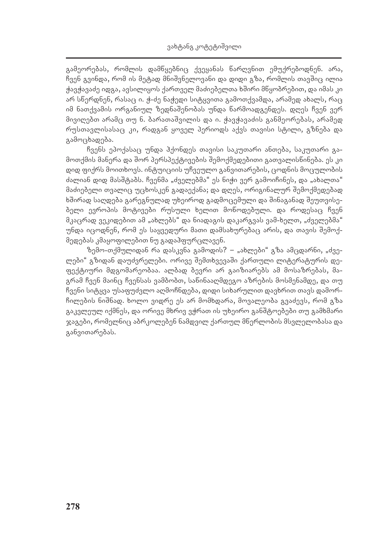გამეორებას, რომლის დამწყებნიც ქვეყანას წარღვნით ემუქრებოდნენ. არა, ჩვენ გვინდა, რომ ის მეტად მნიშვნელოვანი და დიდი გზა, რომლის თავშიც ილია ჯავჯავაძე იდგა, ავსილიყოს ქართველ მაძიებელთა ხშირი მწყობრებით, და იმას კი  $\sigma$ არ სწერდნენ, რასაც ი. ჭ-ძე ნაჭედი სიტყვითა გამოთქვამდა, არამედ ახალს, რაც იმ ნათქვამის ორგანიულ ზედნაშენობას უნდა ნარმოადგენდეს. დღეს ჩვენ ვერ მივიღებთ არამც თუ ნ. ბარათაშვილის და ი. ჭავჭავაძის განმეორებას, არამედ რუსთავლისასაც კი, რადგან ყოველ პერიოდს აქვს თავისი სტილი, გზნება და გამოცხადება.

ჩვენს ეპოქასაც უნდა ჰქონდეს თავისი საკუთარი ანთება, საკუთარი გამოთქმის მანერა და შორ პერსპექტივების შემოქმედებითი გათვალისწინება. ეს კი დიდ ფიქრს მოითხოვს. ინტუიციის უჩვეულო განვითარების, ცოდნის მოცულობის dალიან დიდ მასშტაბს. ჩვენმა "ძველებმა" ეს ნიჭი ვერ გამოიჩინეს, და "ახალთა" მაძიებელი თვალიც უცხოსკენ გადაექანა; და დღეს, ორიგინალურ შემოქმედებად ხშირად საღდება გარეგნულად უხეიროდ გადმოცემული და შინაგანად შეუთვისებელი ევროპის მოტივები რუსული ხელით მონოდებული. და როდესაც ჩვენ  $\partial_i$ აცრად ვეკიდებით ამ "ახლებს" და ნიადაგის დაკარგვას ვამ-ხელთ, "ძველებმა" უნდა იცოდნენ, რომ ეს საყვედური მათი დამსახურებაც არის, და თავის შემოქმედებას კმაყოფილებით ნუ გადაჰფურცლავენ.

ზემო-თქმულიდან რა დასკვნა გამოდის? – "ახლები" გზა ამცდარნი, "ძველები" გზიდან დაუძვრელები. ორივე შემთხვევაში ქართული ლიტერატურის დეფექტიური მდგომარეობაა. ალბად ბევრი არ გაიზიარებს ამ მოსაზრებას, მაგრამ ჩვენ მაინც ჩვენსას ვამბობთ, სანინააღმდეგო აზრების მოსმენამდე, და თუ ჩვენი სიტყვა უსაფუძვლო აღმოჩნდება, დიდი სიხარულით დავხრით თავს დამორჩილების ნიშნად. ხოლო ვიდრე ეს არ მომხდარა, მოვალეობა გვაძევს, რომ გზა გაკვლეულ იქმნეს, და ორივე მხრივ ვჭრათ ის უხეირო განშტოებები თუ გამხმარი ჯაგები, რომელნიც აბრკოლებენ ნამდვილ ქართულ მწერლობის მსვლელობასა და განვითარებას.